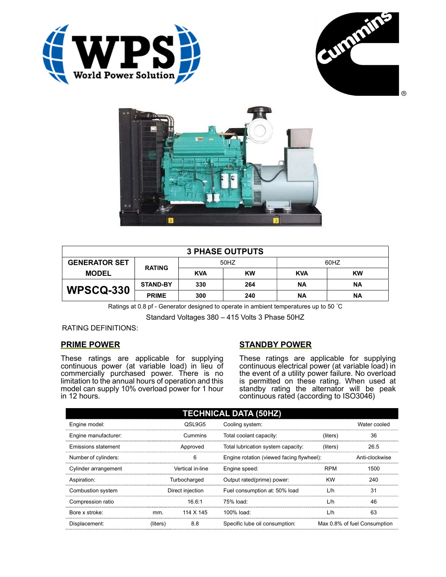





| <b>3 PHASE OUTPUTS</b> |                 |            |           |            |           |  |
|------------------------|-----------------|------------|-----------|------------|-----------|--|
| <b>GENERATOR SET</b>   | <b>RATING</b>   | 50HZ       |           | 60HZ       |           |  |
| <b>MODEL</b>           |                 | <b>KVA</b> | <b>KW</b> | <b>KVA</b> | <b>KW</b> |  |
| <b>WPSCQ-330</b>       | <b>STAND-BY</b> | 330        | 264       | ΝA         | ΝA        |  |
|                        | <b>PRIME</b>    | 300        | 240       | ΝA         | ΝA        |  |

Ratings at 0.8 pf - Generator designed to operate in ambient temperatures up to 50 °C

Standard Voltages 380 – 415 Volts 3 Phase 50HZ

RATING DEFINITIONS:

## PRIME POWER

These ratings are applicable for supplying continuous power (at variable load) in lieu of commercially purchased power. There is no limitation to the annual hours of operation and this model can supply 10% overload power for 1 hour in 12 hours.

## STANDBY POWER

These ratings are applicable for supplying continuous electrical power (at variable load) in the event of a utility power failure. No overload is permitted on these rating. When used at standby rating the alternator will be peak continuous rated (according to ISO3046)

| <b>TECHNICAL DATA (50HZ)</b> |                  |                  |                                           |            |                              |  |
|------------------------------|------------------|------------------|-------------------------------------------|------------|------------------------------|--|
| Engine model:                |                  | QSL9G5           | Cooling system:                           |            | Water cooled                 |  |
| Engine manufacturer:         |                  | Cummins          | Total coolant capacity:                   | (liters)   | 36                           |  |
| <b>Emissions statement</b>   | Approved         |                  | Total lubrication system capacity:        | (liters)   | 26.5                         |  |
| Number of cylinders:         | 6                |                  | Engine rotation (viewed facing flywheel): |            | Anti-clockwise               |  |
| Cylinder arrangement         |                  | Vertical in-line | Engine speed:                             | <b>RPM</b> | 1500                         |  |
| Aspiration:                  | Turbocharged     |                  | Output rated(prime) power:                | <b>KW</b>  | 240                          |  |
| Combustion system            | Direct injection |                  | Fuel consumption at: 50% load             | L/h        | 31                           |  |
| Compression ratio            |                  | 16.6:1           | 75% load:                                 | L/h        | 46                           |  |
| Bore x stroke:               | mm.              | 114 X 145        | 100% load:                                | L/h        | 63                           |  |
| Displacement:                | (liters)         | 8.8              | Specific lube oil consumption:            |            | Max 0.8% of fuel Consumption |  |